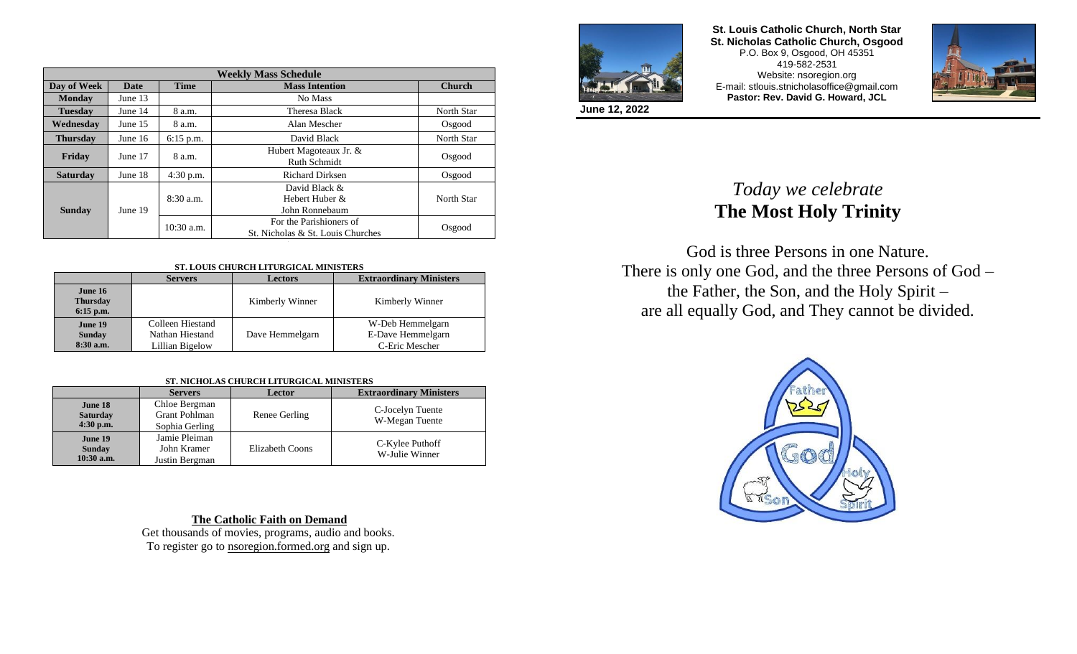| <b>Weekly Mass Schedule</b> |             |              |                                                              |            |  |
|-----------------------------|-------------|--------------|--------------------------------------------------------------|------------|--|
| Day of Week                 | <b>Date</b> | <b>Time</b>  | <b>Mass Intention</b><br><b>Church</b>                       |            |  |
| <b>Monday</b>               | June $13$   |              | No Mass                                                      |            |  |
| <b>Tuesday</b>              | June 14     | 8 a.m.       | Theresa Black                                                | North Star |  |
| Wednesday                   | June $15$   | 8 a.m.       | Alan Mescher                                                 | Osgood     |  |
| <b>Thursday</b>             | June $16$   | $6:15$ p.m.  | David Black                                                  | North Star |  |
| Friday                      | June 17     | 8 a.m.       | Hubert Magoteaux Jr. &<br>Ruth Schmidt                       | Osgood     |  |
| <b>Saturday</b>             | June 18     | $4:30$ p.m.  | <b>Richard Dirksen</b>                                       | Osgood     |  |
| <b>Sunday</b>               | June 19     | $8:30$ a.m.  | David Black &<br>Hebert Huber &<br>John Ronnebaum            | North Star |  |
|                             |             | $10:30$ a.m. | For the Parishioners of<br>St. Nicholas & St. Louis Churches | Osgood     |  |

## **ST. LOUIS CHURCH LITURGICAL MINISTERS**

|                                           | <b>Servers</b>                                         | <b>Lectors</b>  | <b>Extraordinary Ministers</b>                          |
|-------------------------------------------|--------------------------------------------------------|-----------------|---------------------------------------------------------|
| June 16<br><b>Thursday</b><br>$6:15$ p.m. |                                                        | Kimberly Winner | Kimberly Winner                                         |
| June 19<br><b>Sunday</b><br>$8:30$ a.m.   | Colleen Hiestand<br>Nathan Hiestand<br>Lillian Bigelow | Dave Hemmelgarn | W-Deb Hemmelgarn<br>E-Dave Hemmelgarn<br>C-Eric Mescher |

| ST. NICHOLAS CHURCH LITURGICAL MINISTERS |  |  |  |
|------------------------------------------|--|--|--|
|                                          |  |  |  |

|                                           | <b>Servers</b>                                          | Lector                 | <b>Extraordinary Ministers</b>     |
|-------------------------------------------|---------------------------------------------------------|------------------------|------------------------------------|
| June 18<br><b>Saturday</b><br>$4:30$ p.m. | Chloe Bergman<br><b>Grant Pohlman</b><br>Sophia Gerling | Renee Gerling          | C-Jocelyn Tuente<br>W-Megan Tuente |
| June 19<br><b>Sunday</b><br>$10:30$ a.m.  | Jamie Pleiman<br>John Kramer<br>Justin Bergman          | <b>Elizabeth Coons</b> | C-Kylee Puthoff<br>W-Julie Winner  |

**The Catholic Faith on Demand** Get thousands of movies, programs, audio and books. To register go to nsoregion.formed.org and sign up.



**St. Louis Catholic Church, North Star St. Nicholas Catholic Church, Osgood** P.O. Box 9, Osgood, OH 45351 419-582-2531 Website: nsoregion.org E-mail: stlouis.stnicholasoffice@gmail.com **Pastor: Rev. David G. Howard, JCL**



**June 12, 2022**

## *Today we celebrate*  **The Most Holy Trinity**

God is three Persons in one Nature. There is only one God, and the three Persons of God – the Father, the Son, and the Holy Spirit – are all equally God, and They cannot be divided.